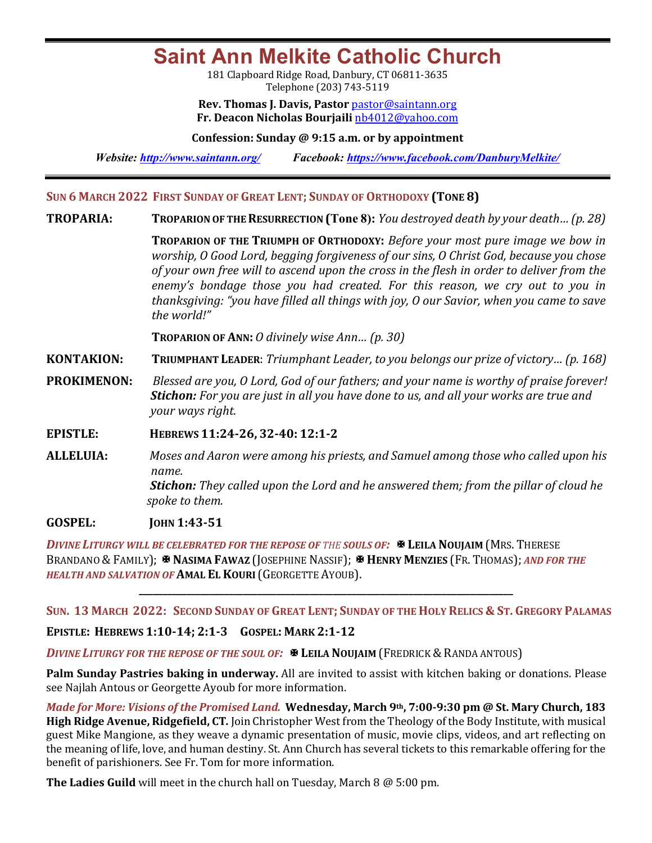**Saint Ann Melkite Catholic Church**

181 Clapboard Ridge Road, Danbury, CT 06811-3635 Telephone (203) 743-5119

**Rev. Thomas J. Davis, Pastor** pastor@saintann.org **Fr. Deacon Nicholas Bourjaili** nb4012@yahoo.com

**Confession: Sunday @ 9:15 a.m. or by appointment**

*Website: http://www.saintann.org/ Facebook: https://www.facebook.com/DanburyMelkite/* 

### **SUN 6 MARCH 2022 FIRST SUNDAY OF GREAT LENT; SUNDAY OF ORTHODOXY (TONE 8)**

**TROPARIA: TROPARION OF THE RESURRECTION (Tone 8):** *You destroyed death by your death… (p. 28)*

**TROPARION** OF THE TRIUMPH OF ORTHODOXY: *Before your most pure image we bow in worship, O Good Lord, begging forgiveness of our sins, O Christ God, because you chose* of your own free will to ascend upon the cross in the flesh in order to deliver from the enemy's bondage those you had created. For this reason, we cry out to you in *thanksgiving:* "you have filled all things with joy, O our Savior, when you came to save the world!"

**TROPARION OF ANN:** *O* divinely wise Ann... (p. 30)

**KONTAKION: TRIUMPHANT LEADER:** *Triumphant Leader, to you belongs our prize of victory... (p. 168)* 

- **PROKIMENON:** Blessed are you, O Lord, God of our fathers; and your name is worthy of praise forever! **Stichon:** For you are just in all you have done to us, and all your works are true and *your* ways right.
- **EPISTLE: HEBREWS 11:24-26, 32-40: 12:1-2**
- **ALLELUIA:** Moses and Aaron were among his priests, and Samuel among those who called upon his *name.* **Stichon:** They called upon the Lord and he answered them; from the pillar of cloud he spoke to them.

**GOSPEL: IOHN 1:43-51** 

*DIVINE LITURGY WILL BE CELEBRATED FOR THE REPOSE OF THE SOULS OF:*X **LEILA NOUJAIM** (MRS. THERESE BRANDANO & FAMILY); **E NASIMA FAWAZ** (JOSEPHINE NASSIF); **E HENRY MENZIES** (FR. THOMAS); *AND FOR THE* **HEALTH AND SALVATION OF AMAL EL KOURI** (GEORGETTE AYOUB).

**SUN. 13 MARCH 2022: SECOND SUNDAY OF GREAT LENT; SUNDAY OF THE HOLY RELICS & ST. GREGORY PALAMAS**

**\_\_\_\_\_\_\_\_\_\_\_\_\_\_\_\_\_\_\_\_\_\_\_\_\_\_\_\_\_\_\_\_\_\_\_\_\_\_\_\_\_\_\_\_\_\_\_\_\_\_\_\_\_\_\_\_\_\_\_\_\_\_\_\_\_\_\_\_\_\_\_\_\_\_\_\_\_\_\_**

#### **EPISTLE: HEBREWS 1:10-14; 2:1-3 GOSPEL: MARK 2:1-12**

**DIVINE LITURGY FOR THE REPOSE OF THE SOUL OF:**  $\mathbb{F}$  **Leila Noujaim (Fredrick & Randa antous)** 

**Palm Sunday Pastries baking in underway.** All are invited to assist with kitchen baking or donations. Please see Najlah Antous or Georgette Ayoub for more information.

*Made for More: Visions of the Promised Land.* Wednesday, March 9<sup>th</sup>, 7:00-9:30 pm @ St. Mary Church, 183 **High Ridge Avenue, Ridgefield, CT.** Join Christopher West from the Theology of the Body Institute, with musical guest Mike Mangione, as they weave a dynamic presentation of music, movie clips, videos, and art reflecting on the meaning of life, love, and human destiny. St. Ann Church has several tickets to this remarkable offering for the benefit of parishioners. See Fr. Tom for more information.

**The Ladies Guild** will meet in the church hall on Tuesday, March 8 @ 5:00 pm.